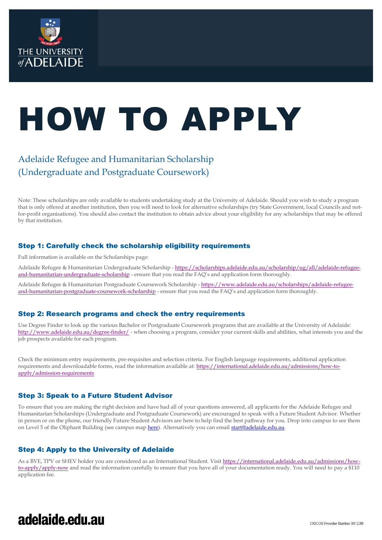

# HOW TO APPLY

### Adelaide Refugee and Humanitarian Scholarship (Undergraduate and Postgraduate Coursework)

Note: These scholarships are only available to students undertaking study at the University of Adelaide. Should you wish to study a program that is only offered at another institution, then you will need to look for alternative scholarships (try State Government, local Councils and notfor-profit organisations). You should also contact the institution to obtain advice about your eligibility for any scholarships that may be offered by that institution.

### Step 1: Carefully check the scholarship eligibility requirements

Full information is available on the Scholarships page:

Adelaide Refugee & Humanitarian Undergraduate Scholarship - [https://scholarships.adelaide.edu.au/scholarship/ug/all/adelaide-refugee](https://scholarships.adelaide.edu.au/scholarship/ug/all/adelaide-refugee-and-humanitarian-undergraduate-scholarship)[and-humanitarian-undergraduate-scholarship](https://scholarships.adelaide.edu.au/scholarship/ug/all/adelaide-refugee-and-humanitarian-undergraduate-scholarship) - ensure that you read the FAQ's and application form thoroughly.

Adelaide Refugee & Humanitarian Postgraduate Coursework Scholarship - [https://www.adelaide.edu.au/scholarships/adelaide-refugee](https://www.adelaide.edu.au/scholarships/adelaide-refugee-and-humanitarian-postgraduate-coursework-scholarship)[and-humanitarian-postgraduate-coursework-scholarship](https://www.adelaide.edu.au/scholarships/adelaide-refugee-and-humanitarian-postgraduate-coursework-scholarship) - ensure that you read the FAQ's and application form thoroughly.

### Step 2: Research programs and check the entry requirements

Use Degree Finder to look up the various Bachelor or Postgraduate Coursework programs that are available at the University of Adelaide: <http://www.adelaide.edu.au/degree-finder/> - when choosing a program, consider your current skills and abilities, what interests you and the job prospects available for each program.

Check the minimum entry requirements, pre-requisites and selection criteria. For English language requirements, additional application requirements and downloadable forms, read the information available at: [https://international.adelaide.edu.au/admissions/how-to](https://international.adelaide.edu.au/admissions/how-to-apply/admission-requirements)[apply/admission-requirements](https://international.adelaide.edu.au/admissions/how-to-apply/admission-requirements)

### Step 3: Speak to a Future Student Advisor

To ensure that you are making the right decision and have had all of your questions answered, all applicants for the Adelaide Refugee and Humanitarian Scholarships (Undergraduate and Postgraduate Coursework) are encouraged to speak with a Future Student Advisor. Whether in person or on the phone, our friendly Future Student Advisors are here to help find the best pathway for you. Drop into campus to see them on Level 5 of the Oliphant Building (see campus ma[p here\)](https://www.adelaide.edu.au/campuses/mapscurrent/north_terrace.pdf). Alternatively you can emai[l start@adelaide.edu.au.](mailto:start@adelaide.edu.au)

### Step 4: Apply to the University of Adelaide

As a BVE, TPV or SHEV holder you are considered as an International Student. Visi[t https://international.adelaide.edu.au/admissions/how](https://international.adelaide.edu.au/admissions/how-to-apply/apply-now)[to-apply/apply-now](https://international.adelaide.edu.au/admissions/how-to-apply/apply-now) and read the information carefully to ensure that you have all of your documentation ready. You will need to pay a \$110 application fee.

## adelaide.edu.au